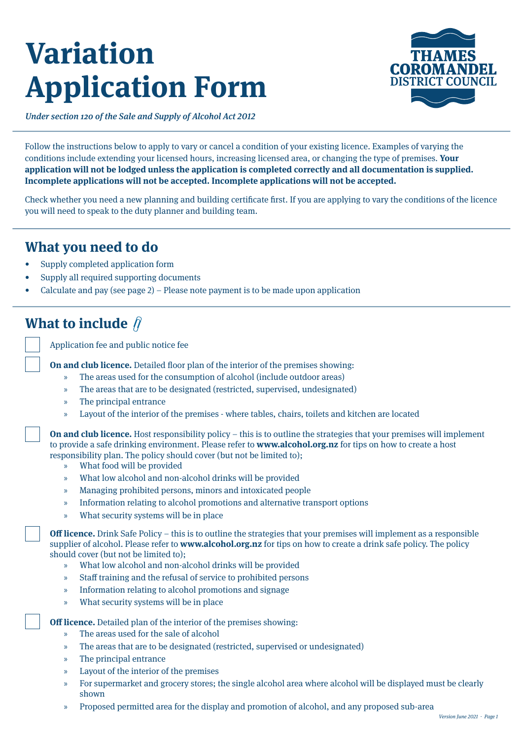# **Variation Application Form**



Under section 120 of the Sale and Supply of Alcohol Act 2012

Follow the instructions below to apply to vary or cancel a condition of your existing licence. Examples of varying the conditions include extending your licensed hours, increasing licensed area, or changing the type of premises. **Your application will not be lodged unless the application is completed correctly and all documentation is supplied. Incomplete applications will not be accepted. Incomplete applications will not be accepted.** 

Check whether you need a new planning and building certificate first. If you are applying to vary the conditions of the licence you will need to speak to the duty planner and building team.

### **What you need to do**

- Supply completed application form
- Supply all required supporting documents
- Calculate and pay (see page 2) Please note payment is to be made upon application

# **What to include**

Application fee and public notice fee

**On and club licence.** Detailed floor plan of the interior of the premises showing:

- » The areas used for the consumption of alcohol (include outdoor areas)
- » The areas that are to be designated (restricted, supervised, undesignated)
- » The principal entrance
- » Layout of the interior of the premises where tables, chairs, toilets and kitchen are located

**On and club licence.** Host responsibility policy – this is to outline the strategies that your premises will implement to provide a safe drinking environment. Please refer to **[www.alcohol.org.nz](http://www.alcohol.org.nz)** for tips on how to create a host responsibility plan. The policy should cover (but not be limited to);

- » What food will be provided
- » What low alcohol and non-alcohol drinks will be provided
- » Managing prohibited persons, minors and intoxicated people
- » Information relating to alcohol promotions and alternative transport options
- » What security systems will be in place

**Off licence.** Drink Safe Policy – this is to outline the strategies that your premises will implement as a responsible supplier of alcohol. Please refer to **[www.alcohol.org.nz](http://www.alcohol.org.nz)** for tips on how to create a drink safe policy. The policy should cover (but not be limited to);

- » What low alcohol and non-alcohol drinks will be provided
- » Staff training and the refusal of service to prohibited persons
- » Information relating to alcohol promotions and signage
- » What security systems will be in place

**Off licence.** Detailed plan of the interior of the premises showing:

- » The areas used for the sale of alcohol
- » The areas that are to be designated (restricted, supervised or undesignated)
- » The principal entrance
- » Layout of the interior of the premises
- » For supermarket and grocery stores; the single alcohol area where alcohol will be displayed must be clearly shown
- » Proposed permitted area for the display and promotion of alcohol, and any proposed sub-area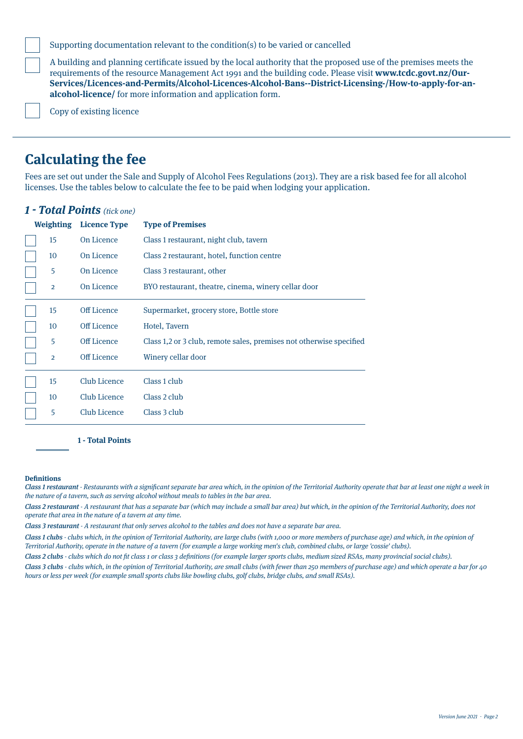Supporting documentation relevant to the condition(s) to be varied or cancelled

A building and planning certificate issued by the local authority that the proposed use of the premises meets the requirements of the resource Management Act 1991 and the building code. Please visit **[www.tcdc.govt.nz/Our-](http://www.tcdc.govt.nz/Our-Services/Licences-and-Permits/Alcohol-Licences-Alcohol-Bans--District-Licensing-/How-to-apply-for-an-alcohol-licence/)[Services/Licences-and-Permits/Alcohol-Licences-Alcohol-Bans--District-Licensing-/How-to-apply-for-an](http://www.tcdc.govt.nz/Our-Services/Licences-and-Permits/Alcohol-Licences-Alcohol-Bans--District-Licensing-/How-to-apply-for-an-alcohol-licence/)[alcohol-licence/](http://www.tcdc.govt.nz/Our-Services/Licences-and-Permits/Alcohol-Licences-Alcohol-Bans--District-Licensing-/How-to-apply-for-an-alcohol-licence/)** for more information and application form.

Copy of existing licence

### **Calculating the fee**

Fees are set out under the Sale and Supply of Alcohol Fees Regulations (2013). They are a risk based fee for all alcohol licenses. Use the tables below to calculate the fee to be paid when lodging your application.

| <b>Weighting</b><br><b>Licence Type</b> |  |                    | <b>Type of Premises</b>                                             |
|-----------------------------------------|--|--------------------|---------------------------------------------------------------------|
| 15                                      |  | On Licence         | Class 1 restaurant, night club, tavern                              |
| 10                                      |  | On Licence         | Class 2 restaurant, hotel, function centre                          |
| 5                                       |  | On Licence         | Class 3 restaurant, other                                           |
| $\overline{2}$                          |  | On Licence         | BYO restaurant, theatre, cinema, winery cellar door                 |
| 15                                      |  | Off Licence        | Supermarket, grocery store, Bottle store                            |
| 10                                      |  | <b>Off Licence</b> | Hotel, Tavern                                                       |
| 5                                       |  | <b>Off Licence</b> | Class 1,2 or 3 club, remote sales, premises not otherwise specified |
| $\overline{2}$                          |  | Off Licence        | Winery cellar door                                                  |
| 15                                      |  | Club Licence       | Class 1 club                                                        |
| 10                                      |  | Club Licence       | Class 2 club                                                        |
| 5                                       |  | Club Licence       | Class 3 club                                                        |

#### **1 - Total Points** (tick one)

**1 - Total Points**

#### **Definitions**

Class 1 restaurant - Restaurants with a significant separate bar area which, in the opinion of the Territorial Authority operate that bar at least one night a week in the nature of a tavern, such as serving alcohol without meals to tables in the bar area.

Class 2 restaurant - A restaurant that has a separate bar (which may include a small bar area) but which, in the opinion of the Territorial Authority, does not operate that area in the nature of a tavern at any time.

Class 3 restaurant - A restaurant that only serves alcohol to the tables and does not have a separate bar area.

Class 1 clubs - clubs which, in the opinion of Territorial Authority, are large clubs (with 1,000 or more members of purchase age) and which, in the opinion of Territorial Authority, operate in the nature of a tavern (for example a large working men's club, combined clubs, or large 'cossie' clubs).

Class 2 clubs - clubs which do not fit class 1 or class 3 definitions (for example larger sports clubs, medium sized RSAs, many provincial social clubs).

Class 3 clubs - clubs which, in the opinion of Territorial Authority, are small clubs (with fewer than 250 members of purchase age) and which operate a bar for 40 hours or less per week (for example small sports clubs like bowling clubs, golf clubs, bridge clubs, and small RSAs).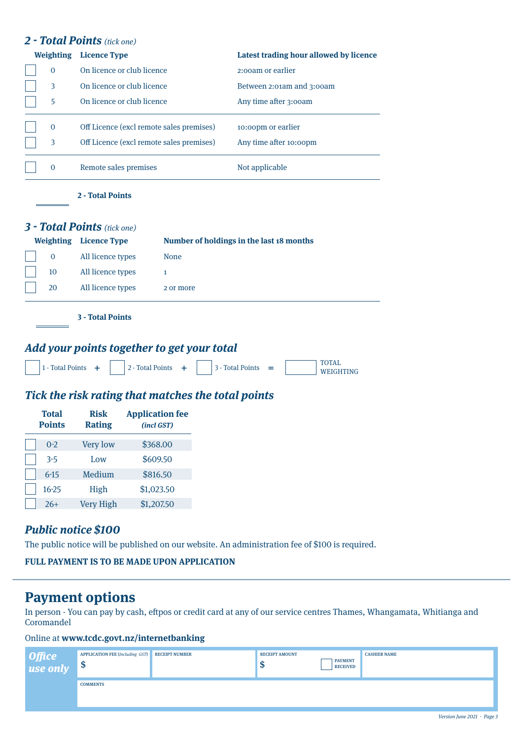#### **2 - Total Points** (tick one)

| <b>Weighting</b> | <b>Licence Type</b>                      | Latest trading hour allowed by licence |
|------------------|------------------------------------------|----------------------------------------|
| $\Omega$         | On licence or club licence               | 2:00am or earlier                      |
| 3                | On licence or club licence               | Between 2:01am and 3:00am              |
| 5                | On licence or club licence               | Any time after 3:00am                  |
| $\mathbf{0}$     | Off Licence (excl remote sales premises) | 10:00pm or earlier                     |
| 3                | Off Licence (excl remote sales premises) | Any time after 10:00pm                 |
| $\Omega$         | Remote sales premises                    | Not applicable                         |
|                  | 2 - Total Points                         |                                        |

### **3 - Total Points** (tick one)

|             | <b>Weighting</b> Licence Type | Number of holdings in the last 18 months |
|-------------|-------------------------------|------------------------------------------|
| $\mathbf 0$ | All licence types             | None                                     |
| 10          | All licence types             |                                          |
| 20          | All licence types             | 2 or more                                |
|             |                               |                                          |

**3 - Total Points**

#### **Add your points together to get your total**

| 1 - Total Points |  | 2 - Total Points | <sup>1</sup> 3 - Total Points | - - | <b>WEIGHTING</b> |
|------------------|--|------------------|-------------------------------|-----|------------------|
|                  |  |                  |                               |     |                  |

#### **Tick the risk rating that matches the total points**

| <b>Total</b><br><b>Points</b> | <b>Risk</b><br><b>Rating</b> | <b>Application fee</b><br>(incl GST) |
|-------------------------------|------------------------------|--------------------------------------|
| $0 - 2$                       | <b>Very low</b>              | \$368.00                             |
| $3 - 5$                       | Low                          | \$609.50                             |
| $6 - 15$                      | Medium                       | \$816.50                             |
| $16 - 25$                     | High                         | \$1,023.50                           |
| $26+$                         | <b>Very High</b>             | \$1,207.50                           |

#### **Public notice \$100**

The public notice will be published on our website. An administration fee of \$100 is required.

|  |  |  |  |  |  | <b>FULL PAYMENT IS TO BE MADE UPON APPLICATION</b> |
|--|--|--|--|--|--|----------------------------------------------------|
|--|--|--|--|--|--|----------------------------------------------------|

## **Payment options**

In person - You can pay by cash, eftpos or credit card at any of our service centres Thames, Whangamata, Whitianga and Coromandel

#### Online at **www.tcdc.govt.nz/internetbanking**

| Office<br>use only | <b>APPLICATION FEE (Including GST)</b><br>$\mathbf{\Phi}$ | <b>RECEIPT NUMBER</b> | <b>RECEIPT AMOUNT</b><br>ш | <b>PAYMENT</b><br><b>RECEIVED</b> | <b>CASHIER NAME</b> |
|--------------------|-----------------------------------------------------------|-----------------------|----------------------------|-----------------------------------|---------------------|
|                    | <b>COMMENTS</b>                                           |                       |                            |                                   |                     |
|                    |                                                           |                       |                            |                                   |                     |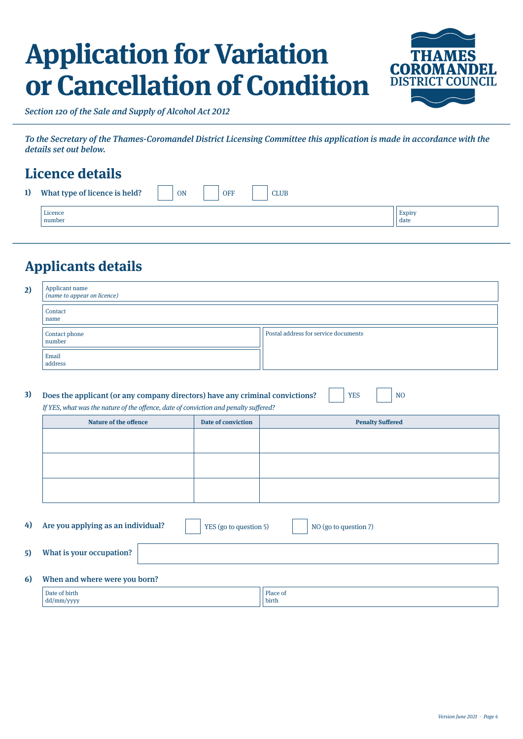# **Application for Variation or Cancellation of Condition**



Section 120 of the Sale and Supply of Alcohol Act 2012

To the Secretary of the Thames-Coromandel District Licensing Committee this application is made in accordance with the details set out below.

# **Licence details**

| 1) | What type of licence is held? | ON<br><b>OFF</b><br><b>CLUB</b> |                |
|----|-------------------------------|---------------------------------|----------------|
|    | Licence<br>number             |                                 | Expiry<br>date |

# **Applicants details**

dd/mm/yyyy

| 2) | Applicant name<br>( <i>name to appear on licence</i> ) |                                      |  |
|----|--------------------------------------------------------|--------------------------------------|--|
|    | Contact<br>name                                        |                                      |  |
|    | Contact phone<br>number                                | Postal address for service documents |  |
|    | Email<br>address                                       |                                      |  |

| Does the applicant (or any company directors) have any criminal convictions?         | $ $ YES | <b>NO</b> |
|--------------------------------------------------------------------------------------|---------|-----------|
| If YES, what was the nature of the offence, date of conviction and penalty suffered? |         |           |

| <b>Nature of the offence</b> | Date of conviction | <b>Penalty Suffered</b> |
|------------------------------|--------------------|-------------------------|
|                              |                    |                         |
|                              |                    |                         |
|                              |                    |                         |
|                              |                    |                         |
|                              |                    |                         |
|                              |                    |                         |
|                              |                    |                         |

| 4) | Are you applying as an individual?             | YES (go to question 5) | NO (go to question 7) |
|----|------------------------------------------------|------------------------|-----------------------|
| 5) | What is your occupation?                       |                        |                       |
| 6) | When and where were you born?<br>Date of birth | Place of               |                       |

birth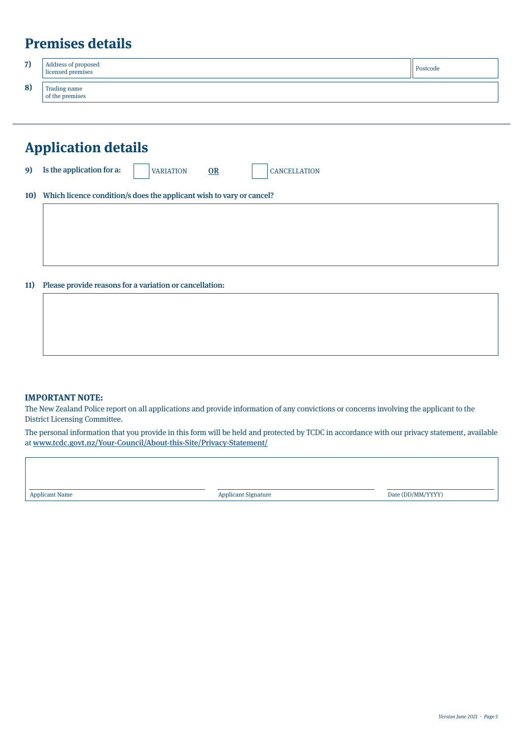# **Premises details**

| 7) | Address of proposed<br>  licensed premises | Postcode |
|----|--------------------------------------------|----------|
| 8) | Trading name<br>of the premises            |          |

| <b>Application details</b> |                                                                            |  |
|----------------------------|----------------------------------------------------------------------------|--|
| 9)                         | Is the application for a:<br>OR<br><b>CANCELLATION</b><br><b>VARIATION</b> |  |
| <b>10)</b>                 | Which licence condition/s does the applicant wish to vary or cancel?       |  |
|                            |                                                                            |  |
|                            |                                                                            |  |
|                            |                                                                            |  |
| 11)                        | Please provide reasons for a variation or cancellation:                    |  |
|                            |                                                                            |  |
|                            |                                                                            |  |

#### **IMPORTANT NOTE:**

The New Zealand Police report on all applications and provide information of any convictions or concerns involving the applicant to the District Licensing Committee.

The personal information that you provide in this form will be held and protected by TCDC in accordance with our privacy statement, available at www.tcdc.govt.nz/Your-Council/About-this-Site/Privacy-Statement/